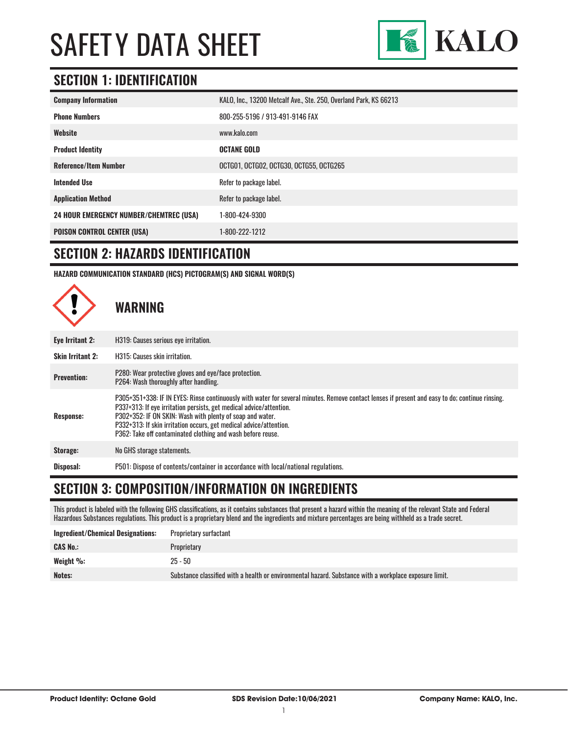

# **SECTION 1: IDENTIFICATION**

| <b>Company Information</b>                     | KALO, Inc., 13200 Metcalf Ave., Ste. 250, Overland Park, KS 66213 |
|------------------------------------------------|-------------------------------------------------------------------|
| <b>Phone Numbers</b>                           | 800-255-5196 / 913-491-9146 FAX                                   |
| Website                                        | www.kalo.com                                                      |
| <b>Product Identity</b>                        | <b>OCTANE GOLD</b>                                                |
| <b>Reference/Item Number</b>                   | OCTG01, OCTG02, OCTG30, OCTG55, OCTG265                           |
| <b>Intended Use</b>                            | Refer to package label.                                           |
| <b>Application Method</b>                      | Refer to package label.                                           |
| <b>24 HOUR EMERGENCY NUMBER/CHEMTREC (USA)</b> | 1-800-424-9300                                                    |
| <b>POISON CONTROL CENTER (USA)</b>             | 1-800-222-1212                                                    |

#### **SECTION 2: HAZARDS IDENTIFICATION**

**HAZARD COMMUNICATION STANDARD (HCS) PICTOGRAM(S) AND SIGNAL WORD(S)**



### **SECTION 3: COMPOSITION/INFORMATION ON INGREDIENTS**

This product is labeled with the following GHS classifications, as it contains substances that present a hazard within the meaning of the relevant State and Federal Hazardous Substances regulations. This product is a proprietary blend and the ingredients and mixture percentages are being withheld as a trade secret.

| <b>Ingredient/Chemical Designations:</b> | Proprietary surfactant                                                                                 |
|------------------------------------------|--------------------------------------------------------------------------------------------------------|
| <b>CAS No.:</b>                          | Proprietary                                                                                            |
| Weight %:                                | $25 - 50$                                                                                              |
| Notes:                                   | Substance classified with a health or environmental hazard. Substance with a workplace exposure limit. |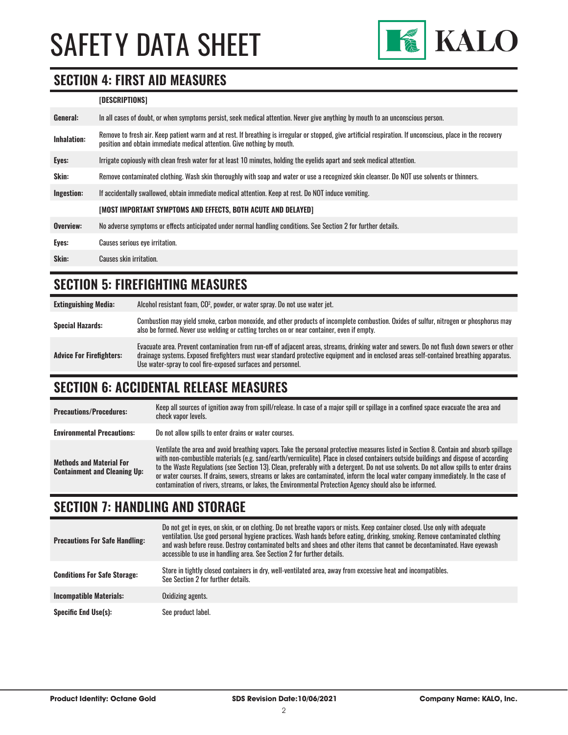

### **SECTION 4: FIRST AID MEASURES**

#### **[DESCRIPTIONS]**

| Remove to fresh air. Keep patient warm and at rest. If breathing is irregular or stopped, give artificial respiration. If unconscious, place in the recovery<br><b>Inhalation:</b><br>position and obtain immediate medical attention. Give nothing by mouth. |  |
|---------------------------------------------------------------------------------------------------------------------------------------------------------------------------------------------------------------------------------------------------------------|--|
| Irrigate copiously with clean fresh water for at least 10 minutes, holding the eyelids apart and seek medical attention.<br>Eyes:                                                                                                                             |  |
| <b>Skin:</b><br>Remove contaminated clothing. Wash skin thoroughly with soap and water or use a recognized skin cleanser. Do NOT use solvents or thinners.                                                                                                    |  |
| Ingestion:<br>If accidentally swallowed, obtain immediate medical attention. Keep at rest. Do NOT induce vomiting.                                                                                                                                            |  |
| [MOST IMPORTANT SYMPTOMS AND EFFECTS, BOTH ACUTE AND DELAYED]                                                                                                                                                                                                 |  |
| Overview:<br>No adverse symptoms or effects anticipated under normal handling conditions. See Section 2 for further details.                                                                                                                                  |  |
| Eyes:<br>Causes serious eye irritation.                                                                                                                                                                                                                       |  |
| Skin:<br>Causes skin irritation.                                                                                                                                                                                                                              |  |

# **SECTION 5: FIREFIGHTING MEASURES**

| <b>Extinguishing Media:</b>     | Alcohol resistant foam, CO <sup>2</sup> , powder, or water spray. Do not use water jet.                                                                                                                                                                                                                                                                |
|---------------------------------|--------------------------------------------------------------------------------------------------------------------------------------------------------------------------------------------------------------------------------------------------------------------------------------------------------------------------------------------------------|
| <b>Special Hazards:</b>         | Combustion may yield smoke, carbon monoxide, and other products of incomplete combustion. Oxides of sulfur, nitrogen or phosphorus may<br>also be formed. Never use welding or cutting torches on or near container, even if empty.                                                                                                                    |
| <b>Advice For Firefighters:</b> | Evacuate area. Prevent contamination from run-off of adjacent areas, streams, drinking water and sewers. Do not flush down sewers or other<br>drainage systems. Exposed firefighters must wear standard protective equipment and in enclosed areas self-contained breathing apparatus.<br>Use water-spray to cool fire-exposed surfaces and personnel. |

### **SECTION 6: ACCIDENTAL RELEASE MEASURES**

| <b>Precautions/Procedures:</b>                                         | Keep all sources of ignition away from spill/release. In case of a major spill or spillage in a confined space evacuate the area and<br>check vapor levels.                                                                                                                                                                                                                                                                                                                                                                                                                                                                                                               |
|------------------------------------------------------------------------|---------------------------------------------------------------------------------------------------------------------------------------------------------------------------------------------------------------------------------------------------------------------------------------------------------------------------------------------------------------------------------------------------------------------------------------------------------------------------------------------------------------------------------------------------------------------------------------------------------------------------------------------------------------------------|
| <b>Environmental Precautions:</b>                                      | Do not allow spills to enter drains or water courses.                                                                                                                                                                                                                                                                                                                                                                                                                                                                                                                                                                                                                     |
| <b>Methods and Material For</b><br><b>Containment and Cleaning Up:</b> | Ventilate the area and avoid breathing vapors. Take the personal protective measures listed in Section 8. Contain and absorb spillage<br>with non-combustible materials (e.g. sand/earth/vermiculite). Place in closed containers outside buildings and dispose of according<br>to the Waste Regulations (see Section 13). Clean, preferably with a detergent. Do not use solvents. Do not allow spills to enter drains<br>or water courses. If drains, sewers, streams or lakes are contaminated, inform the local water company immediately. In the case of<br>contamination of rivers, streams, or lakes, the Environmental Protection Agency should also be informed. |

# **SECTION 7: HANDLING AND STORAGE**

| <b>Precautions For Safe Handling:</b> | Do not get in eyes, on skin, or on clothing. Do not breathe vapors or mists. Keep container closed. Use only with adequate<br>ventilation. Use good personal hygiene practices. Wash hands before eating, drinking, smoking. Remove contaminated clothing<br>and wash before reuse. Destroy contaminated belts and shoes and other items that cannot be decontaminated. Have evewash<br>accessible to use in handling area. See Section 2 for further details. |
|---------------------------------------|----------------------------------------------------------------------------------------------------------------------------------------------------------------------------------------------------------------------------------------------------------------------------------------------------------------------------------------------------------------------------------------------------------------------------------------------------------------|
| <b>Conditions For Safe Storage:</b>   | Store in tightly closed containers in dry, well-ventilated area, away from excessive heat and incompatibles.<br>See Section 2 for further details.                                                                                                                                                                                                                                                                                                             |
| <b>Incompatible Materials:</b>        | Oxidizing agents.                                                                                                                                                                                                                                                                                                                                                                                                                                              |
| <b>Specific End Use(s):</b>           | See product label.                                                                                                                                                                                                                                                                                                                                                                                                                                             |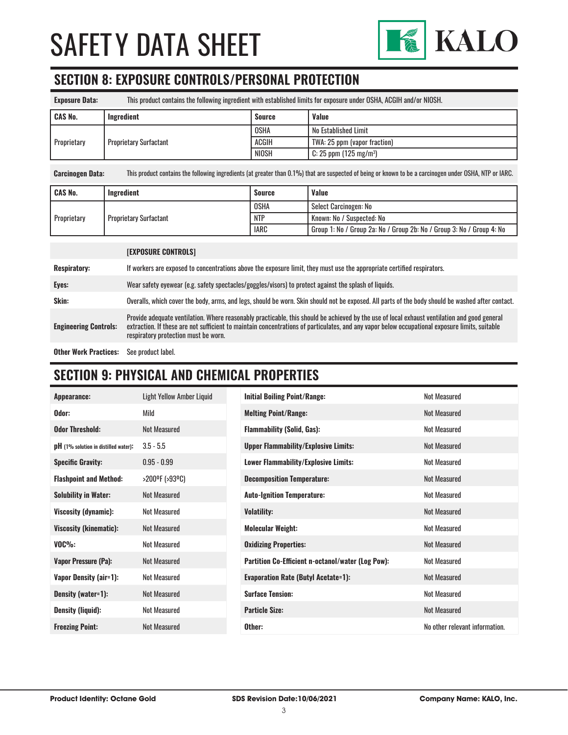

# **SECTION 8: EXPOSURE CONTROLS/PERSONAL PROTECTION**

| This product contains the following ingredient with established limits for exposure under OSHA, ACGIH and/or NIOSH. |               |                                      |
|---------------------------------------------------------------------------------------------------------------------|---------------|--------------------------------------|
| Ingredient                                                                                                          | <b>Source</b> | <b>Value</b>                         |
| <b>Proprietary Surfactant</b>                                                                                       | <b>OSHA</b>   | No Established Limit                 |
|                                                                                                                     | <b>ACGIH</b>  | TWA: 25 ppm (vapor fraction)         |
|                                                                                                                     | <b>NIOSH</b>  | $C: 25$ ppm (125 mg/m <sup>3</sup> ) |
|                                                                                                                     |               |                                      |

**Carcinogen Data:** This product contains the following ingredients (at greater than 0.1%) that are suspected of being or known to be a carcinogen under OSHA, NTP or IARC.

| <b>CAS No.</b>                               | Ingredient | <b>Source</b> | <b>Value</b>                                                          |
|----------------------------------------------|------------|---------------|-----------------------------------------------------------------------|
| Proprietary<br><b>Proprietary Surfactant</b> |            | <b>OSHA</b>   | Select Carcinogen: No                                                 |
|                                              |            | <b>NTP</b>    | Known: No / Suspected: No                                             |
|                                              |            | <b>IARC</b>   | Group 1: No / Group 2a: No / Group 2b: No / Group 3: No / Group 4: No |

|                              | <b>[EXPOSURE CONTROLS]</b>                                                                                                                                                                                                                                                                                                             |
|------------------------------|----------------------------------------------------------------------------------------------------------------------------------------------------------------------------------------------------------------------------------------------------------------------------------------------------------------------------------------|
| <b>Respiratory:</b>          | If workers are exposed to concentrations above the exposure limit, they must use the appropriate certified respirators.                                                                                                                                                                                                                |
| Eyes:                        | Wear safety eyewear (e.g. safety spectacles/goggles/visors) to protect against the splash of liquids.                                                                                                                                                                                                                                  |
| Skin:                        | Overalls, which cover the body, arms, and legs, should be worn. Skin should not be exposed. All parts of the body should be washed after contact.                                                                                                                                                                                      |
| <b>Engineering Controls:</b> | Provide adequate ventilation. Where reasonably practicable, this should be achieved by the use of local exhaust ventilation and good general<br>extraction. If these are not sufficient to maintain concentrations of particulates, and any vapor below occupational exposure limits, suitable<br>respiratory protection must be worn. |
|                              |                                                                                                                                                                                                                                                                                                                                        |

**Other Work Practices:** See product label.

# **SECTION 9: PHYSICAL AND CHEMICAL PROPERTIES**

| Appearance:                            | Light Yellow Amber Liquid | <b>Initial Boiling Point/Range:</b>               | <b>Not Measured</b>            |
|----------------------------------------|---------------------------|---------------------------------------------------|--------------------------------|
| Odor:                                  | Mild                      | <b>Melting Point/Range:</b>                       | <b>Not Measured</b>            |
| <b>Odor Threshold:</b>                 | <b>Not Measured</b>       | <b>Flammability (Solid, Gas):</b>                 | Not Measured                   |
| $pH$ (1% solution in distilled water): | $3.5 - 5.5$               | <b>Upper Flammability/Explosive Limits:</b>       | Not Measured                   |
| <b>Specific Gravity:</b>               | $0.95 - 0.99$             | Lower Flammability/Explosive Limits:              | Not Measured                   |
| <b>Flashpoint and Method:</b>          | >200ºF (>93ºC)            | <b>Decomposition Temperature:</b>                 | Not Measured                   |
| <b>Solubility in Water:</b>            | <b>Not Measured</b>       | <b>Auto-Ignition Temperature:</b>                 | <b>Not Measured</b>            |
| Viscosity (dynamic):                   | Not Measured              | <b>Volatility:</b>                                | <b>Not Measured</b>            |
| <b>Viscosity (kinematic):</b>          | Not Measured              | <b>Molecular Weight:</b>                          | Not Measured                   |
| $VOC\%$ :                              | <b>Not Measured</b>       | <b>Oxidizing Properties:</b>                      | <b>Not Measured</b>            |
| <b>Vapor Pressure (Pa):</b>            | <b>Not Measured</b>       | Partition Co-Efficient n-octanol/water (Log Pow): | <b>Not Measured</b>            |
| <b>Vapor Density (air=1):</b>          | <b>Not Measured</b>       | <b>Evaporation Rate (Butyl Acetate=1):</b>        | <b>Not Measured</b>            |
| Density (water=1):                     | Not Measured              | <b>Surface Tension:</b>                           | Not Measured                   |
| <b>Density (liquid):</b>               | Not Measured              | <b>Particle Size:</b>                             | <b>Not Measured</b>            |
| <b>Freezing Point:</b>                 | <b>Not Measured</b>       | Other:                                            | No other relevant information. |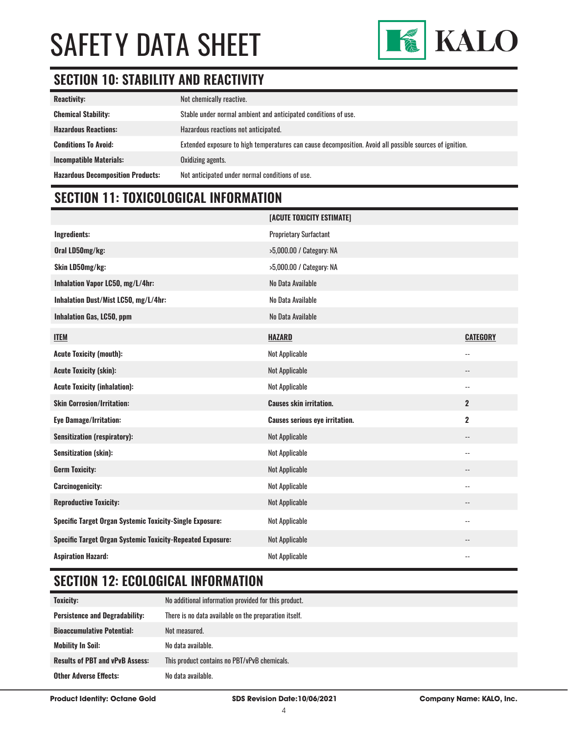

# **SECTION 10: STABILITY AND REACTIVITY**

| <b>Reactivity:</b>                       | Not chemically reactive.                                                                                |
|------------------------------------------|---------------------------------------------------------------------------------------------------------|
| <b>Chemical Stability:</b>               | Stable under normal ambient and anticipated conditions of use.                                          |
| <b>Hazardous Reactions:</b>              | Hazardous reactions not anticipated.                                                                    |
| <b>Conditions To Avoid:</b>              | Extended exposure to high temperatures can cause decomposition. Avoid all possible sources of ignition. |
| <b>Incompatible Materials:</b>           | Oxidizing agents.                                                                                       |
| <b>Hazardous Decomposition Products:</b> | Not anticipated under normal conditions of use.                                                         |

# **SECTION 11: TOXICOLOGICAL INFORMATION**

|                                                                   | [ACUTE TOXICITY ESTIMATE]             |                          |
|-------------------------------------------------------------------|---------------------------------------|--------------------------|
| Ingredients:                                                      | <b>Proprietary Surfactant</b>         |                          |
| Oral LD50mg/kg:                                                   | >5,000.00 / Category: NA              |                          |
| Skin LD50mg/kg:                                                   | >5,000.00 / Category: NA              |                          |
| Inhalation Vapor LC50, mg/L/4hr:                                  | No Data Available                     |                          |
| Inhalation Dust/Mist LC50, mg/L/4hr:                              | No Data Available                     |                          |
| <b>Inhalation Gas, LC50, ppm</b>                                  | No Data Available                     |                          |
| <b>ITEM</b>                                                       | <b>HAZARD</b>                         | <b>CATEGORY</b>          |
| <b>Acute Toxicity (mouth):</b>                                    | Not Applicable                        | $-$                      |
| <b>Acute Toxicity (skin):</b>                                     | <b>Not Applicable</b>                 | --                       |
| <b>Acute Toxicity (inhalation):</b>                               | Not Applicable                        | --                       |
| <b>Skin Corrosion/Irritation:</b>                                 | <b>Causes skin irritation.</b>        | $\overline{2}$           |
| <b>Eye Damage/Irritation:</b>                                     | <b>Causes serious eye irritation.</b> | $\overline{2}$           |
| <b>Sensitization (respiratory):</b>                               | <b>Not Applicable</b>                 | --                       |
| <b>Sensitization (skin):</b>                                      | <b>Not Applicable</b>                 | $-$                      |
| <b>Germ Toxicity:</b>                                             | <b>Not Applicable</b>                 | --                       |
| <b>Carcinogenicity:</b>                                           | Not Applicable                        | $\overline{\phantom{a}}$ |
| <b>Reproductive Toxicity:</b>                                     | <b>Not Applicable</b>                 | --                       |
| <b>Specific Target Organ Systemic Toxicity-Single Exposure:</b>   | Not Applicable                        | $-$                      |
| <b>Specific Target Organ Systemic Toxicity-Repeated Exposure:</b> | <b>Not Applicable</b>                 | $\overline{\phantom{a}}$ |
| <b>Aspiration Hazard:</b>                                         | Not Applicable                        | $\overline{a}$           |

# **SECTION 12: ECOLOGICAL INFORMATION**

| <b>Toxicity:</b>                       | No additional information provided for this product.  |  |
|----------------------------------------|-------------------------------------------------------|--|
| <b>Persistence and Degradability:</b>  | There is no data available on the preparation itself. |  |
| <b>Bioaccumulative Potential:</b>      | Not measured.                                         |  |
| <b>Mobility In Soil:</b>               | No data available.                                    |  |
| <b>Results of PBT and vPvB Assess:</b> | This product contains no PBT/vPvB chemicals.          |  |
| <b>Other Adverse Effects:</b>          | No data available.                                    |  |